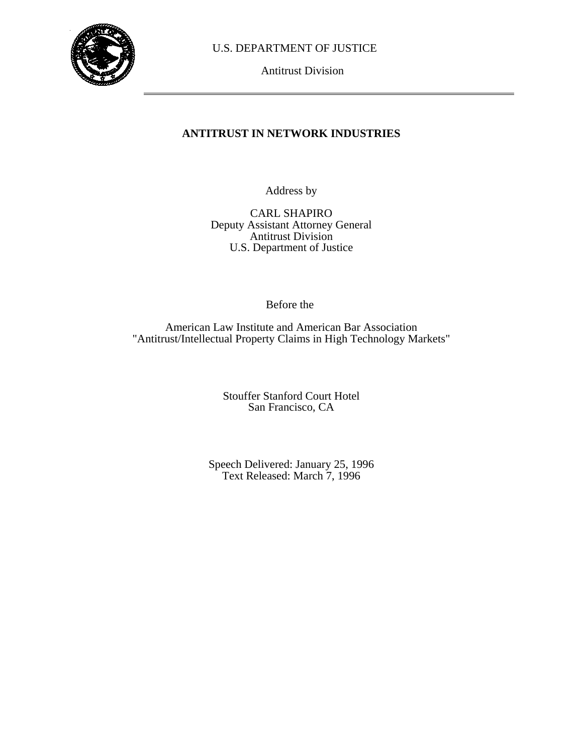

U.S. DEPARTMENT OF JUSTICE

Antitrust Division

# **ANTITRUST IN NETWORK INDUSTRIES**

Address by

CARL SHAPIRO Deputy Assistant Attorney General Antitrust Division U.S. Department of Justice

Before the

American Law Institute and American Bar Association "Antitrust/Intellectual Property Claims in High Technology Markets"

> Stouffer Stanford Court Hotel San Francisco, CA

Speech Delivered: January 25, 1996 Text Released: March 7, 1996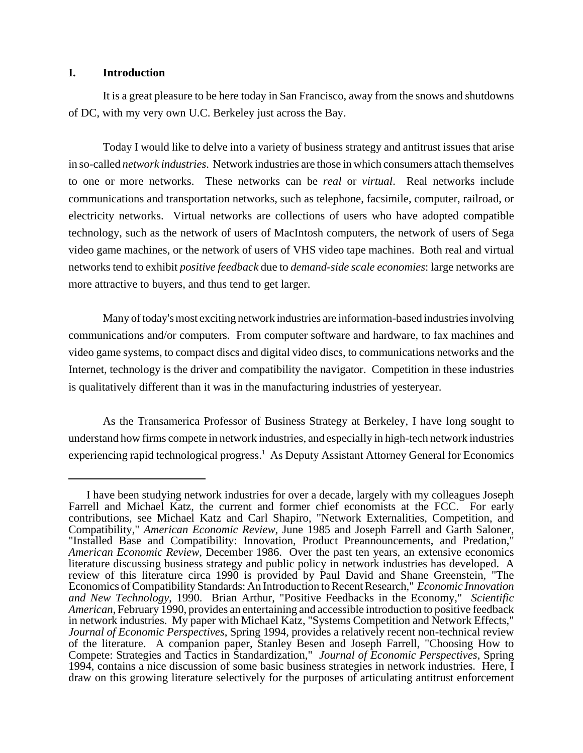#### **I. Introduction**

It is a great pleasure to be here today in San Francisco, away from the snows and shutdowns of DC, with my very own U.C. Berkeley just across the Bay.

Today I would like to delve into a variety of business strategy and antitrust issues that arise in so-called *network industries*. Network industries are those in which consumers attach themselves to one or more networks. These networks can be *real* or *virtual*. Real networks include communications and transportation networks, such as telephone, facsimile, computer, railroad, or electricity networks. Virtual networks are collections of users who have adopted compatible technology, such as the network of users of MacIntosh computers, the network of users of Sega video game machines, or the network of users of VHS video tape machines. Both real and virtual networks tend to exhibit *positive feedback* due to *demand-side scale economies*: large networks are more attractive to buyers, and thus tend to get larger.

Many of today's most exciting network industries are information-based industries involving communications and/or computers. From computer software and hardware, to fax machines and video game systems, to compact discs and digital video discs, to communications networks and the Internet, technology is the driver and compatibility the navigator. Competition in these industries is qualitatively different than it was in the manufacturing industries of yesteryear.

As the Transamerica Professor of Business Strategy at Berkeley, I have long sought to understand how firms compete in network industries, and especially in high-tech network industries experiencing rapid technological progress.<sup>1</sup> As Deputy Assistant Attorney General for Economics

I have been studying network industries for over a decade, largely with my colleagues Joseph Farrell and Michael Katz, the current and former chief economists at the FCC. For early contributions, see Michael Katz and Carl Shapiro, "Network Externalities, Competition, and Compatibility," *American Economic Review*, June 1985 and Joseph Farrell and Garth Saloner, "Installed Base and Compatibility: Innovation, Product Preannouncements, and Predation," *American Economic Review*, December 1986. Over the past ten years, an extensive economics literature discussing business strategy and public policy in network industries has developed. A review of this literature circa 1990 is provided by Paul David and Shane Greenstein, "The Economics of Compatibility Standards: An Introduction to Recent Research," *Economic Innovation and New Technology*, 1990. Brian Arthur, "Positive Feedbacks in the Economy," *Scientific American*, February 1990, provides an entertaining and accessible introduction to positive feedback in network industries. My paper with Michael Katz, "Systems Competition and Network Effects," *Journal of Economic Perspectives*, Spring 1994, provides a relatively recent non-technical review of the literature. A companion paper, Stanley Besen and Joseph Farrell, "Choosing How to Compete: Strategies and Tactics in Standardization," *Journal of Economic Perspectives*, Spring 1994, contains a nice discussion of some basic business strategies in network industries. Here, I draw on this growing literature selectively for the purposes of articulating antitrust enforcement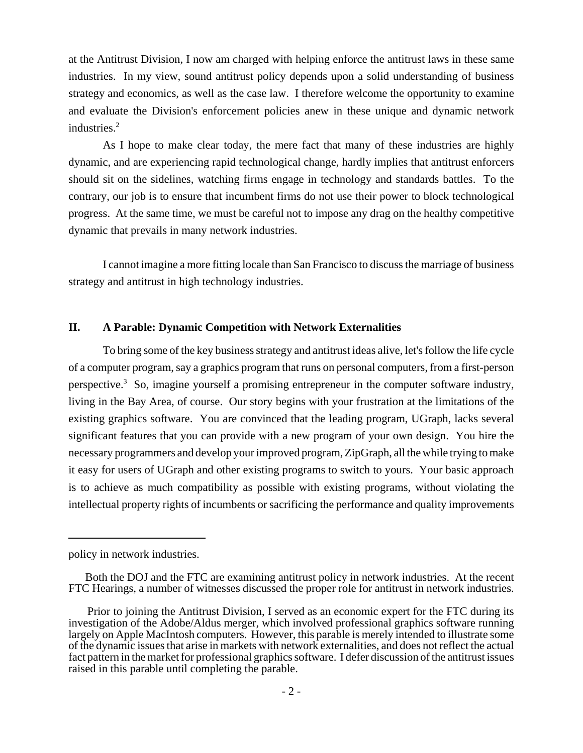at the Antitrust Division, I now am charged with helping enforce the antitrust laws in these same industries. In my view, sound antitrust policy depends upon a solid understanding of business strategy and economics, as well as the case law. I therefore welcome the opportunity to examine and evaluate the Division's enforcement policies anew in these unique and dynamic network industries.<sup>2</sup>

As I hope to make clear today, the mere fact that many of these industries are highly dynamic, and are experiencing rapid technological change, hardly implies that antitrust enforcers should sit on the sidelines, watching firms engage in technology and standards battles. To the contrary, our job is to ensure that incumbent firms do not use their power to block technological progress. At the same time, we must be careful not to impose any drag on the healthy competitive dynamic that prevails in many network industries.

I cannot imagine a more fitting locale than San Francisco to discuss the marriage of business strategy and antitrust in high technology industries.

#### **II. A Parable: Dynamic Competition with Network Externalities**

To bring some of the key business strategy and antitrust ideas alive, let's follow the life cycle of a computer program, say a graphics program that runs on personal computers, from a first-person perspective.<sup>3</sup> So, imagine yourself a promising entrepreneur in the computer software industry, living in the Bay Area, of course. Our story begins with your frustration at the limitations of the existing graphics software. You are convinced that the leading program, UGraph, lacks several significant features that you can provide with a new program of your own design. You hire the necessary programmers and develop your improved program, ZipGraph, all the while trying to make it easy for users of UGraph and other existing programs to switch to yours. Your basic approach is to achieve as much compatibility as possible with existing programs, without violating the intellectual property rights of incumbents or sacrificing the performance and quality improvements

policy in network industries.

Both the DOJ and the FTC are examining antitrust policy in network industries. At the recent FTC Hearings, a number of witnesses discussed the proper role for antitrust in network industries.

Prior to joining the Antitrust Division, I served as an economic expert for the FTC during its investigation of the Adobe/Aldus merger, which involved professional graphics software running largely on Apple MacIntosh computers. However, this parable is merely intended to illustrate some of the dynamic issues that arise in markets with network externalities, and does not reflect the actual fact pattern in the market for professional graphics software. I defer discussion of the antitrust issues raised in this parable until completing the parable.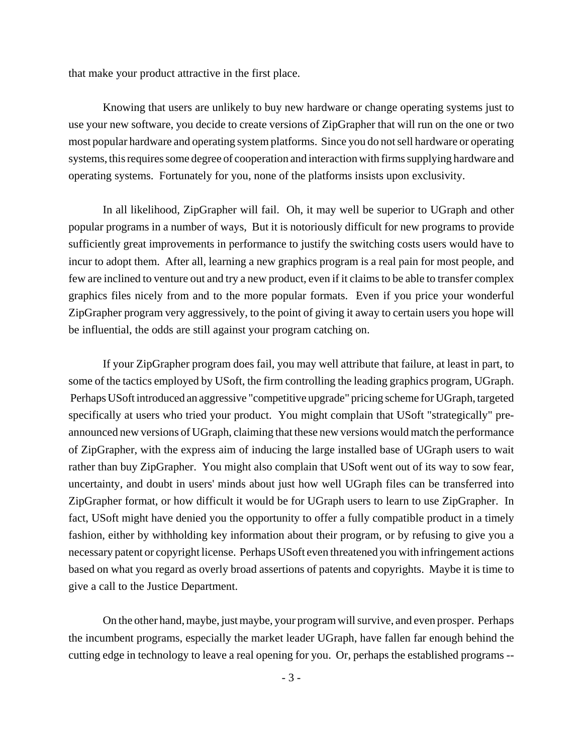that make your product attractive in the first place.

Knowing that users are unlikely to buy new hardware or change operating systems just to use your new software, you decide to create versions of ZipGrapher that will run on the one or two most popular hardware and operating system platforms. Since you do not sell hardware or operating systems, this requires some degree of cooperation and interaction with firms supplying hardware and operating systems. Fortunately for you, none of the platforms insists upon exclusivity.

In all likelihood, ZipGrapher will fail. Oh, it may well be superior to UGraph and other popular programs in a number of ways, But it is notoriously difficult for new programs to provide sufficiently great improvements in performance to justify the switching costs users would have to incur to adopt them. After all, learning a new graphics program is a real pain for most people, and few are inclined to venture out and try a new product, even if it claims to be able to transfer complex graphics files nicely from and to the more popular formats. Even if you price your wonderful ZipGrapher program very aggressively, to the point of giving it away to certain users you hope will be influential, the odds are still against your program catching on.

If your ZipGrapher program does fail, you may well attribute that failure, at least in part, to some of the tactics employed by USoft, the firm controlling the leading graphics program, UGraph. Perhaps USoft introduced an aggressive "competitive upgrade" pricing scheme for UGraph, targeted specifically at users who tried your product. You might complain that USoft "strategically" preannounced new versions of UGraph, claiming that these new versions would match the performance of ZipGrapher, with the express aim of inducing the large installed base of UGraph users to wait rather than buy ZipGrapher. You might also complain that USoft went out of its way to sow fear, uncertainty, and doubt in users' minds about just how well UGraph files can be transferred into ZipGrapher format, or how difficult it would be for UGraph users to learn to use ZipGrapher. In fact, USoft might have denied you the opportunity to offer a fully compatible product in a timely fashion, either by withholding key information about their program, or by refusing to give you a necessary patent or copyright license. Perhaps USoft even threatened you with infringement actions based on what you regard as overly broad assertions of patents and copyrights. Maybe it is time to give a call to the Justice Department.

On the other hand, maybe, just maybe, your program will survive, and even prosper. Perhaps the incumbent programs, especially the market leader UGraph, have fallen far enough behind the cutting edge in technology to leave a real opening for you. Or, perhaps the established programs --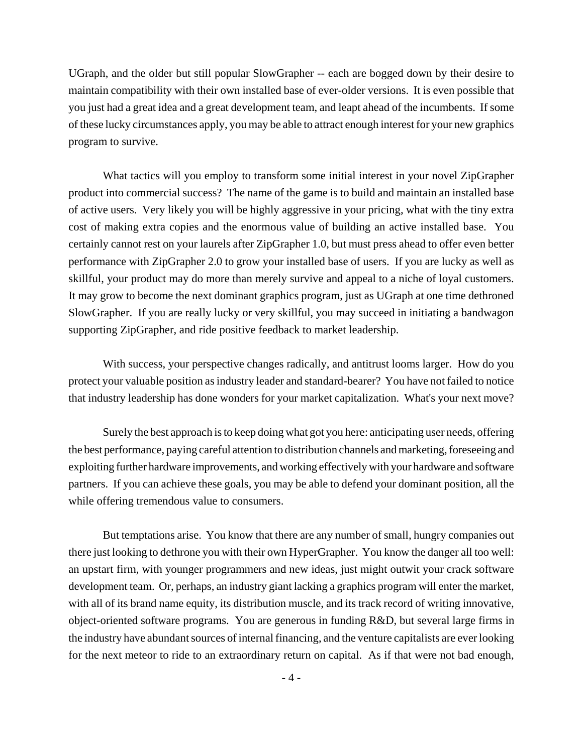UGraph, and the older but still popular SlowGrapher -- each are bogged down by their desire to maintain compatibility with their own installed base of ever-older versions. It is even possible that you just had a great idea and a great development team, and leapt ahead of the incumbents. If some of these lucky circumstances apply, you may be able to attract enough interest for your new graphics program to survive.

What tactics will you employ to transform some initial interest in your novel ZipGrapher product into commercial success? The name of the game is to build and maintain an installed base of active users. Very likely you will be highly aggressive in your pricing, what with the tiny extra cost of making extra copies and the enormous value of building an active installed base. You certainly cannot rest on your laurels after ZipGrapher 1.0, but must press ahead to offer even better performance with ZipGrapher 2.0 to grow your installed base of users. If you are lucky as well as skillful, your product may do more than merely survive and appeal to a niche of loyal customers. It may grow to become the next dominant graphics program, just as UGraph at one time dethroned SlowGrapher. If you are really lucky or very skillful, you may succeed in initiating a bandwagon supporting ZipGrapher, and ride positive feedback to market leadership.

With success, your perspective changes radically, and antitrust looms larger. How do you protect your valuable position as industry leader and standard-bearer? You have not failed to notice that industry leadership has done wonders for your market capitalization. What's your next move?

Surely the best approach is to keep doing what got you here: anticipating user needs, offering the best performance, paying careful attention to distribution channels and marketing, foreseeing and exploiting further hardware improvements, and working effectively with your hardware and software partners. If you can achieve these goals, you may be able to defend your dominant position, all the while offering tremendous value to consumers.

But temptations arise. You know that there are any number of small, hungry companies out there just looking to dethrone you with their own HyperGrapher. You know the danger all too well: an upstart firm, with younger programmers and new ideas, just might outwit your crack software development team. Or, perhaps, an industry giant lacking a graphics program will enter the market, with all of its brand name equity, its distribution muscle, and its track record of writing innovative, object-oriented software programs. You are generous in funding R&D, but several large firms in the industry have abundant sources of internal financing, and the venture capitalists are ever looking for the next meteor to ride to an extraordinary return on capital. As if that were not bad enough,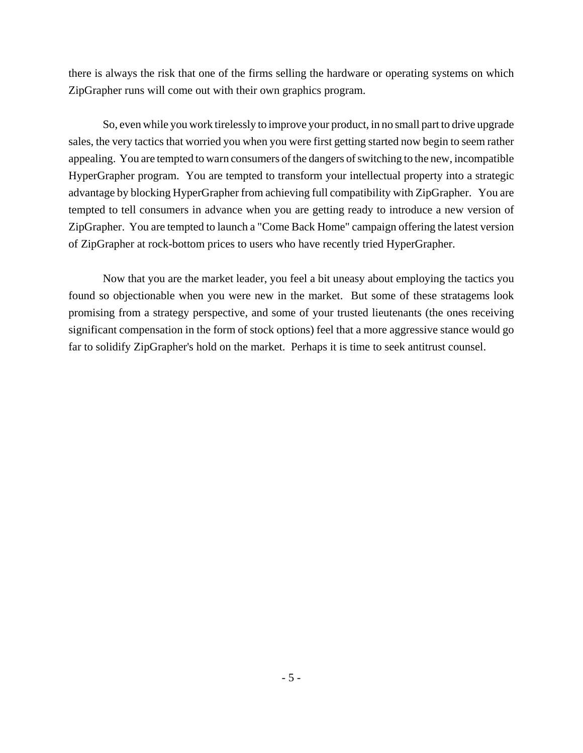there is always the risk that one of the firms selling the hardware or operating systems on which ZipGrapher runs will come out with their own graphics program.

So, even while you work tirelessly to improve your product, in no small part to drive upgrade sales, the very tactics that worried you when you were first getting started now begin to seem rather appealing. You are tempted to warn consumers of the dangers of switching to the new, incompatible HyperGrapher program. You are tempted to transform your intellectual property into a strategic advantage by blocking HyperGrapher from achieving full compatibility with ZipGrapher. You are tempted to tell consumers in advance when you are getting ready to introduce a new version of ZipGrapher. You are tempted to launch a "Come Back Home" campaign offering the latest version of ZipGrapher at rock-bottom prices to users who have recently tried HyperGrapher.

Now that you are the market leader, you feel a bit uneasy about employing the tactics you found so objectionable when you were new in the market. But some of these stratagems look promising from a strategy perspective, and some of your trusted lieutenants (the ones receiving significant compensation in the form of stock options) feel that a more aggressive stance would go far to solidify ZipGrapher's hold on the market. Perhaps it is time to seek antitrust counsel.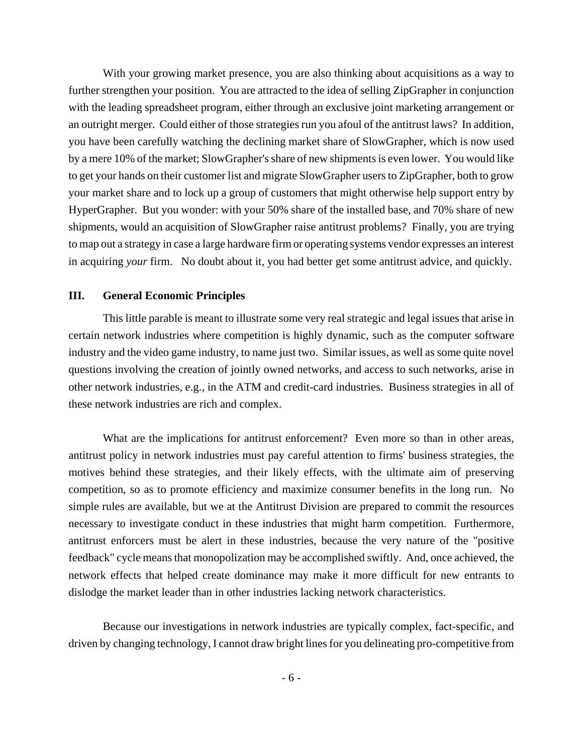With your growing market presence, you are also thinking about acquisitions as a way to further strengthen your position. You are attracted to the idea of selling ZipGrapher in conjunction with the leading spreadsheet program, either through an exclusive joint marketing arrangement or an outright merger. Could either of those strategies run you afoul of the antitrust laws? In addition, you have been carefully watching the declining market share of SlowGrapher, which is now used by a mere 10% of the market; SlowGrapher's share of new shipments is even lower. You would like to get your hands on their customer list and migrate SlowGrapher users to ZipGrapher, both to grow your market share and to lock up a group of customers that might otherwise help support entry by HyperGrapher. But you wonder: with your 50% share of the installed base, and 70% share of new shipments, would an acquisition of SlowGrapher raise antitrust problems? Finally, you are trying to map out a strategy in case a large hardware firm or operating systems vendor expresses an interest in acquiring *your* firm. No doubt about it, you had better get some antitrust advice, and quickly.

### **III. General Economic Principles**

This little parable is meant to illustrate some very real strategic and legal issues that arise in certain network industries where competition is highly dynamic, such as the computer software industry and the video game industry, to name just two. Similar issues, as well as some quite novel questions involving the creation of jointly owned networks, and access to such networks, arise in other network industries, e.g., in the ATM and credit-card industries. Business strategies in all of these network industries are rich and complex.

What are the implications for antitrust enforcement? Even more so than in other areas, antitrust policy in network industries must pay careful attention to firms' business strategies, the motives behind these strategies, and their likely effects, with the ultimate aim of preserving competition, so as to promote efficiency and maximize consumer benefits in the long run. No simple rules are available, but we at the Antitrust Division are prepared to commit the resources necessary to investigate conduct in these industries that might harm competition. Furthermore, antitrust enforcers must be alert in these industries, because the very nature of the "positive feedback" cycle means that monopolization may be accomplished swiftly. And, once achieved, the network effects that helped create dominance may make it more difficult for new entrants to dislodge the market leader than in other industries lacking network characteristics.

Because our investigations in network industries are typically complex, fact-specific, and driven by changing technology, I cannot draw bright lines for you delineating pro-competitive from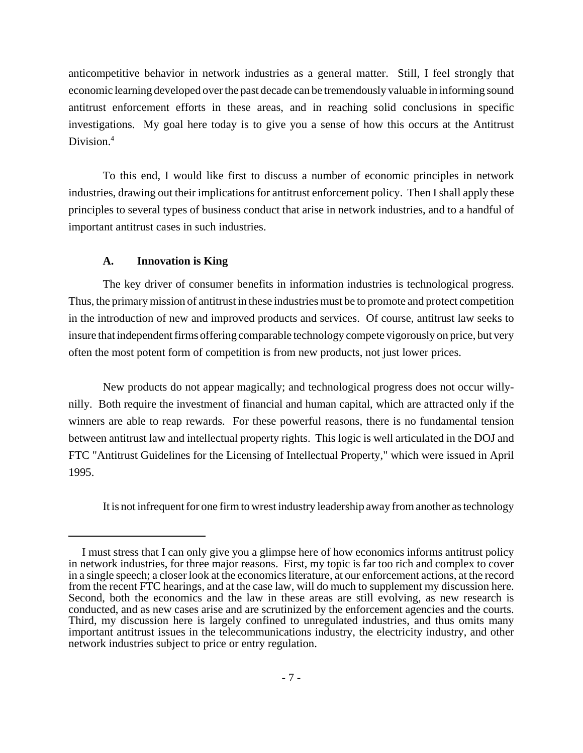anticompetitive behavior in network industries as a general matter. Still, I feel strongly that economic learning developed over the past decade can be tremendously valuable in informing sound antitrust enforcement efforts in these areas, and in reaching solid conclusions in specific investigations. My goal here today is to give you a sense of how this occurs at the Antitrust Division.<sup>4</sup>

To this end, I would like first to discuss a number of economic principles in network industries, drawing out their implications for antitrust enforcement policy. Then I shall apply these principles to several types of business conduct that arise in network industries, and to a handful of important antitrust cases in such industries.

# **A. Innovation is King**

The key driver of consumer benefits in information industries is technological progress. Thus, the primary mission of antitrust in these industries must be to promote and protect competition in the introduction of new and improved products and services. Of course, antitrust law seeks to insure that independent firms offering comparable technology compete vigorously on price, but very often the most potent form of competition is from new products, not just lower prices.

New products do not appear magically; and technological progress does not occur willynilly. Both require the investment of financial and human capital, which are attracted only if the winners are able to reap rewards. For these powerful reasons, there is no fundamental tension between antitrust law and intellectual property rights. This logic is well articulated in the DOJ and FTC "Antitrust Guidelines for the Licensing of Intellectual Property," which were issued in April 1995.

It is not infrequent for one firm to wrest industry leadership away from another as technology

I must stress that I can only give you a glimpse here of how economics informs antitrust policy in network industries, for three major reasons. First, my topic is far too rich and complex to cover in a single speech; a closer look at the economics literature, at our enforcement actions, at the record from the recent FTC hearings, and at the case law, will do much to supplement my discussion here. Second, both the economics and the law in these areas are still evolving, as new research is conducted, and as new cases arise and are scrutinized by the enforcement agencies and the courts. Third, my discussion here is largely confined to unregulated industries, and thus omits many important antitrust issues in the telecommunications industry, the electricity industry, and other network industries subject to price or entry regulation.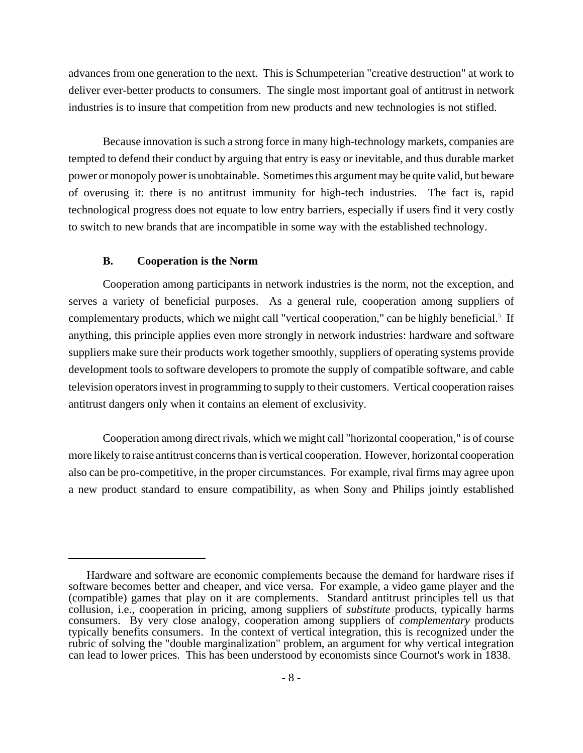advances from one generation to the next. This is Schumpeterian "creative destruction" at work to deliver ever-better products to consumers. The single most important goal of antitrust in network industries is to insure that competition from new products and new technologies is not stifled.

Because innovation is such a strong force in many high-technology markets, companies are tempted to defend their conduct by arguing that entry is easy or inevitable, and thus durable market power or monopoly power is unobtainable. Sometimes this argument may be quite valid, but beware of overusing it: there is no antitrust immunity for high-tech industries. The fact is, rapid technological progress does not equate to low entry barriers, especially if users find it very costly to switch to new brands that are incompatible in some way with the established technology.

## **B. Cooperation is the Norm**

Cooperation among participants in network industries is the norm, not the exception, and serves a variety of beneficial purposes. As a general rule, cooperation among suppliers of complementary products, which we might call "vertical cooperation," can be highly beneficial.<sup>5</sup> If anything, this principle applies even more strongly in network industries: hardware and software suppliers make sure their products work together smoothly, suppliers of operating systems provide development tools to software developers to promote the supply of compatible software, and cable television operators invest in programming to supply to their customers. Vertical cooperation raises antitrust dangers only when it contains an element of exclusivity.

Cooperation among direct rivals, which we might call "horizontal cooperation," is of course more likely to raise antitrust concerns than is vertical cooperation. However, horizontal cooperation also can be pro-competitive, in the proper circumstances. For example, rival firms may agree upon a new product standard to ensure compatibility, as when Sony and Philips jointly established

Hardware and software are economic complements because the demand for hardware rises if software becomes better and cheaper, and vice versa. For example, a video game player and the (compatible) games that play on it are complements. Standard antitrust principles tell us that collusion, i.e., cooperation in pricing, among suppliers of *substitute* products, typically harms consumers. By very close analogy, cooperation among suppliers of *complementary* products typically benefits consumers. In the context of vertical integration, this is recognized under the rubric of solving the "double marginalization" problem, an argument for why vertical integration can lead to lower prices. This has been understood by economists since Cournot's work in 1838.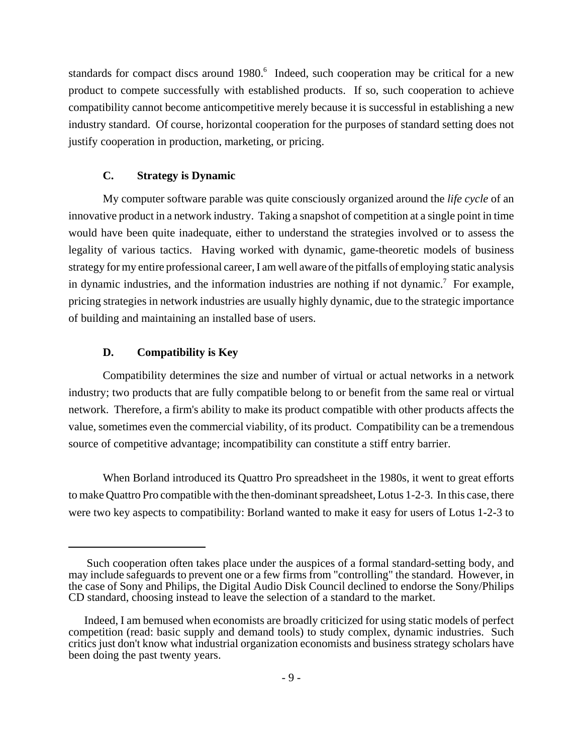standards for compact discs around 1980.<sup>6</sup> Indeed, such cooperation may be critical for a new product to compete successfully with established products. If so, such cooperation to achieve compatibility cannot become anticompetitive merely because it is successful in establishing a new industry standard. Of course, horizontal cooperation for the purposes of standard setting does not justify cooperation in production, marketing, or pricing.

# **C. Strategy is Dynamic**

My computer software parable was quite consciously organized around the *life cycle* of an innovative product in a network industry. Taking a snapshot of competition at a single point in time would have been quite inadequate, either to understand the strategies involved or to assess the legality of various tactics. Having worked with dynamic, game-theoretic models of business strategy for my entire professional career, I am well aware of the pitfalls of employing static analysis in dynamic industries, and the information industries are nothing if not dynamic.<sup>7</sup> For example, pricing strategies in network industries are usually highly dynamic, due to the strategic importance of building and maintaining an installed base of users.

# **D. Compatibility is Key**

Compatibility determines the size and number of virtual or actual networks in a network industry; two products that are fully compatible belong to or benefit from the same real or virtual network. Therefore, a firm's ability to make its product compatible with other products affects the value, sometimes even the commercial viability, of its product. Compatibility can be a tremendous source of competitive advantage; incompatibility can constitute a stiff entry barrier.

When Borland introduced its Quattro Pro spreadsheet in the 1980s, it went to great efforts to make Quattro Pro compatible with the then-dominant spreadsheet, Lotus 1-2-3. In this case, there were two key aspects to compatibility: Borland wanted to make it easy for users of Lotus 1-2-3 to

Such cooperation often takes place under the auspices of a formal standard-setting body, and may include safeguards to prevent one or a few firms from "controlling" the standard. However, in the case of Sony and Philips, the Digital Audio Disk Council declined to endorse the Sony/Philips CD standard, choosing instead to leave the selection of a standard to the market.

Indeed, I am bemused when economists are broadly criticized for using static models of perfect competition (read: basic supply and demand tools) to study complex, dynamic industries. Such critics just don't know what industrial organization economists and business strategy scholars have been doing the past twenty years.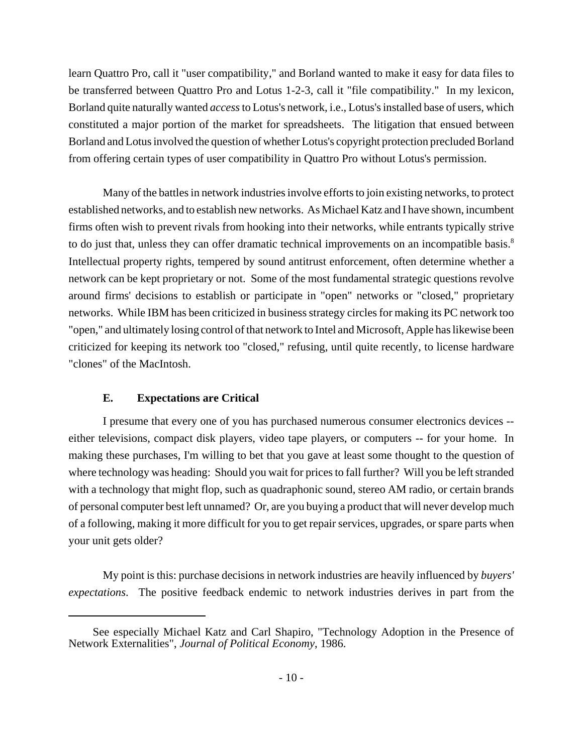learn Quattro Pro, call it "user compatibility," and Borland wanted to make it easy for data files to be transferred between Quattro Pro and Lotus 1-2-3, call it "file compatibility." In my lexicon, Borland quite naturally wanted *access* to Lotus's network, i.e., Lotus's installed base of users, which constituted a major portion of the market for spreadsheets. The litigation that ensued between Borland and Lotus involved the question of whether Lotus's copyright protection precluded Borland from offering certain types of user compatibility in Quattro Pro without Lotus's permission.

Many of the battles in network industries involve efforts to join existing networks, to protect established networks, and to establish new networks. As Michael Katz and I have shown, incumbent firms often wish to prevent rivals from hooking into their networks, while entrants typically strive to do just that, unless they can offer dramatic technical improvements on an incompatible basis.<sup>8</sup> Intellectual property rights, tempered by sound antitrust enforcement, often determine whether a network can be kept proprietary or not. Some of the most fundamental strategic questions revolve around firms' decisions to establish or participate in "open" networks or "closed," proprietary networks. While IBM has been criticized in business strategy circles for making its PC network too "open," and ultimately losing control of that network to Intel and Microsoft, Apple has likewise been criticized for keeping its network too "closed," refusing, until quite recently, to license hardware "clones" of the MacIntosh.

# **E. Expectations are Critical**

I presume that every one of you has purchased numerous consumer electronics devices - either televisions, compact disk players, video tape players, or computers -- for your home. In making these purchases, I'm willing to bet that you gave at least some thought to the question of where technology was heading: Should you wait for prices to fall further? Will you be left stranded with a technology that might flop, such as quadraphonic sound, stereo AM radio, or certain brands of personal computer best left unnamed? Or, are you buying a product that will never develop much of a following, making it more difficult for you to get repair services, upgrades, or spare parts when your unit gets older?

My point is this: purchase decisions in network industries are heavily influenced by *buyers' expectations*. The positive feedback endemic to network industries derives in part from the

See especially Michael Katz and Carl Shapiro, "Technology Adoption in the Presence of Network Externalities", *Journal of Political Economy*, 1986.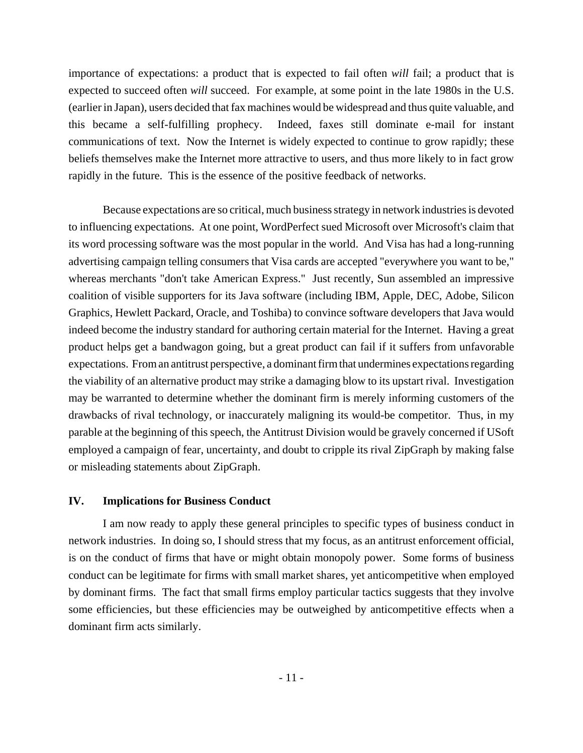importance of expectations: a product that is expected to fail often *will* fail; a product that is expected to succeed often *will* succeed. For example, at some point in the late 1980s in the U.S. (earlier in Japan), users decided that fax machines would be widespread and thus quite valuable, and this became a self-fulfilling prophecy. Indeed, faxes still dominate e-mail for instant communications of text. Now the Internet is widely expected to continue to grow rapidly; these beliefs themselves make the Internet more attractive to users, and thus more likely to in fact grow rapidly in the future. This is the essence of the positive feedback of networks.

Because expectations are so critical, much business strategy in network industries is devoted to influencing expectations. At one point, WordPerfect sued Microsoft over Microsoft's claim that its word processing software was the most popular in the world. And Visa has had a long-running advertising campaign telling consumers that Visa cards are accepted "everywhere you want to be," whereas merchants "don't take American Express." Just recently, Sun assembled an impressive coalition of visible supporters for its Java software (including IBM, Apple, DEC, Adobe, Silicon Graphics, Hewlett Packard, Oracle, and Toshiba) to convince software developers that Java would indeed become the industry standard for authoring certain material for the Internet. Having a great product helps get a bandwagon going, but a great product can fail if it suffers from unfavorable expectations. From an antitrust perspective, a dominant firm that undermines expectations regarding the viability of an alternative product may strike a damaging blow to its upstart rival. Investigation may be warranted to determine whether the dominant firm is merely informing customers of the drawbacks of rival technology, or inaccurately maligning its would-be competitor. Thus, in my parable at the beginning of this speech, the Antitrust Division would be gravely concerned if USoft employed a campaign of fear, uncertainty, and doubt to cripple its rival ZipGraph by making false or misleading statements about ZipGraph.

#### **IV. Implications for Business Conduct**

I am now ready to apply these general principles to specific types of business conduct in network industries. In doing so, I should stress that my focus, as an antitrust enforcement official, is on the conduct of firms that have or might obtain monopoly power. Some forms of business conduct can be legitimate for firms with small market shares, yet anticompetitive when employed by dominant firms. The fact that small firms employ particular tactics suggests that they involve some efficiencies, but these efficiencies may be outweighed by anticompetitive effects when a dominant firm acts similarly.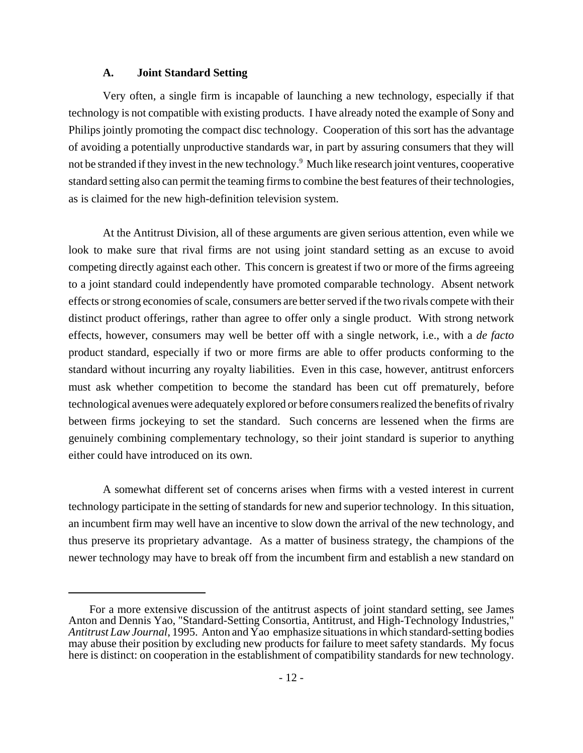#### **A. Joint Standard Setting**

Very often, a single firm is incapable of launching a new technology, especially if that technology is not compatible with existing products. I have already noted the example of Sony and Philips jointly promoting the compact disc technology. Cooperation of this sort has the advantage of avoiding a potentially unproductive standards war, in part by assuring consumers that they will not be stranded if they invest in the new technology.<sup>9</sup> Much like research joint ventures, cooperative standard setting also can permit the teaming firms to combine the best features of their technologies, as is claimed for the new high-definition television system.

At the Antitrust Division, all of these arguments are given serious attention, even while we look to make sure that rival firms are not using joint standard setting as an excuse to avoid competing directly against each other. This concern is greatest if two or more of the firms agreeing to a joint standard could independently have promoted comparable technology. Absent network effects or strong economies of scale, consumers are better served if the two rivals compete with their distinct product offerings, rather than agree to offer only a single product. With strong network effects, however, consumers may well be better off with a single network, i.e., with a *de facto* product standard, especially if two or more firms are able to offer products conforming to the standard without incurring any royalty liabilities. Even in this case, however, antitrust enforcers must ask whether competition to become the standard has been cut off prematurely, before technological avenues were adequately explored or before consumers realized the benefits of rivalry between firms jockeying to set the standard. Such concerns are lessened when the firms are genuinely combining complementary technology, so their joint standard is superior to anything either could have introduced on its own.

A somewhat different set of concerns arises when firms with a vested interest in current technology participate in the setting of standards for new and superior technology. In this situation, an incumbent firm may well have an incentive to slow down the arrival of the new technology, and thus preserve its proprietary advantage. As a matter of business strategy, the champions of the newer technology may have to break off from the incumbent firm and establish a new standard on

For a more extensive discussion of the antitrust aspects of joint standard setting, see James Anton and Dennis Yao, "Standard-Setting Consortia, Antitrust, and High-Technology Industries," *Antitrust Law Journal*, 1995. Anton and Yao emphasize situations in which standard-setting bodies may abuse their position by excluding new products for failure to meet safety standards. My focus here is distinct: on cooperation in the establishment of compatibility standards for new technology.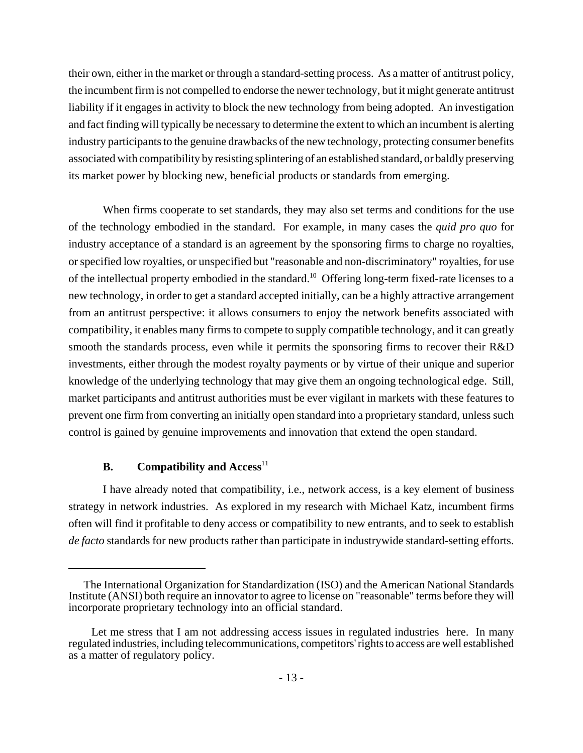their own, either in the market or through a standard-setting process. As a matter of antitrust policy, the incumbent firm is not compelled to endorse the newer technology, but it might generate antitrust liability if it engages in activity to block the new technology from being adopted. An investigation and fact finding will typically be necessary to determine the extent to which an incumbent is alerting industry participants to the genuine drawbacks of the new technology, protecting consumer benefits associated with compatibility by resisting splintering of an established standard, or baldly preserving its market power by blocking new, beneficial products or standards from emerging.

When firms cooperate to set standards, they may also set terms and conditions for the use of the technology embodied in the standard. For example, in many cases the *quid pro quo* for industry acceptance of a standard is an agreement by the sponsoring firms to charge no royalties, or specified low royalties, or unspecified but "reasonable and non-discriminatory" royalties, for use of the intellectual property embodied in the standard.10 Offering long-term fixed-rate licenses to a new technology, in order to get a standard accepted initially, can be a highly attractive arrangement from an antitrust perspective: it allows consumers to enjoy the network benefits associated with compatibility, it enables many firms to compete to supply compatible technology, and it can greatly smooth the standards process, even while it permits the sponsoring firms to recover their R&D investments, either through the modest royalty payments or by virtue of their unique and superior knowledge of the underlying technology that may give them an ongoing technological edge. Still, market participants and antitrust authorities must be ever vigilant in markets with these features to prevent one firm from converting an initially open standard into a proprietary standard, unless such control is gained by genuine improvements and innovation that extend the open standard.

## **B.** Compatibility and Access<sup>11</sup>

I have already noted that compatibility, i.e., network access, is a key element of business strategy in network industries. As explored in my research with Michael Katz, incumbent firms often will find it profitable to deny access or compatibility to new entrants, and to seek to establish *de facto* standards for new products rather than participate in industrywide standard-setting efforts.

The International Organization for Standardization (ISO) and the American National Standards Institute (ANSI) both require an innovator to agree to license on "reasonable" terms before they will incorporate proprietary technology into an official standard.

Let me stress that I am not addressing access issues in regulated industries here. In many regulated industries, including telecommunications, competitors' rights to access are well established as a matter of regulatory policy.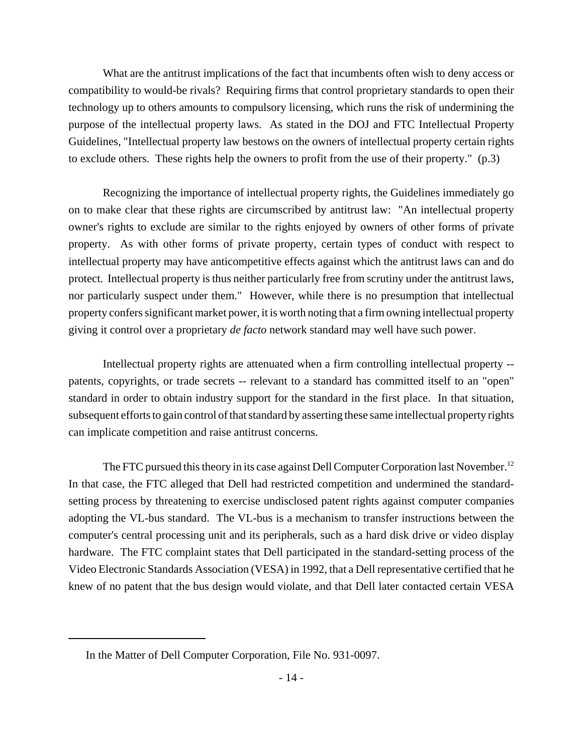What are the antitrust implications of the fact that incumbents often wish to deny access or compatibility to would-be rivals? Requiring firms that control proprietary standards to open their technology up to others amounts to compulsory licensing, which runs the risk of undermining the purpose of the intellectual property laws. As stated in the DOJ and FTC Intellectual Property Guidelines, "Intellectual property law bestows on the owners of intellectual property certain rights to exclude others. These rights help the owners to profit from the use of their property." (p.3)

Recognizing the importance of intellectual property rights, the Guidelines immediately go on to make clear that these rights are circumscribed by antitrust law: "An intellectual property owner's rights to exclude are similar to the rights enjoyed by owners of other forms of private property. As with other forms of private property, certain types of conduct with respect to intellectual property may have anticompetitive effects against which the antitrust laws can and do protect. Intellectual property is thus neither particularly free from scrutiny under the antitrust laws, nor particularly suspect under them." However, while there is no presumption that intellectual property confers significant market power, it is worth noting that a firm owning intellectual property giving it control over a proprietary *de facto* network standard may well have such power.

Intellectual property rights are attenuated when a firm controlling intellectual property - patents, copyrights, or trade secrets -- relevant to a standard has committed itself to an "open" standard in order to obtain industry support for the standard in the first place. In that situation, subsequent efforts to gain control of that standard by asserting these same intellectual property rights can implicate competition and raise antitrust concerns.

The FTC pursued this theory in its case against Dell Computer Corporation last November.<sup>12</sup> In that case, the FTC alleged that Dell had restricted competition and undermined the standardsetting process by threatening to exercise undisclosed patent rights against computer companies adopting the VL-bus standard. The VL-bus is a mechanism to transfer instructions between the computer's central processing unit and its peripherals, such as a hard disk drive or video display hardware. The FTC complaint states that Dell participated in the standard-setting process of the Video Electronic Standards Association (VESA) in 1992, that a Dell representative certified that he knew of no patent that the bus design would violate, and that Dell later contacted certain VESA

In the Matter of Dell Computer Corporation, File No. 931-0097.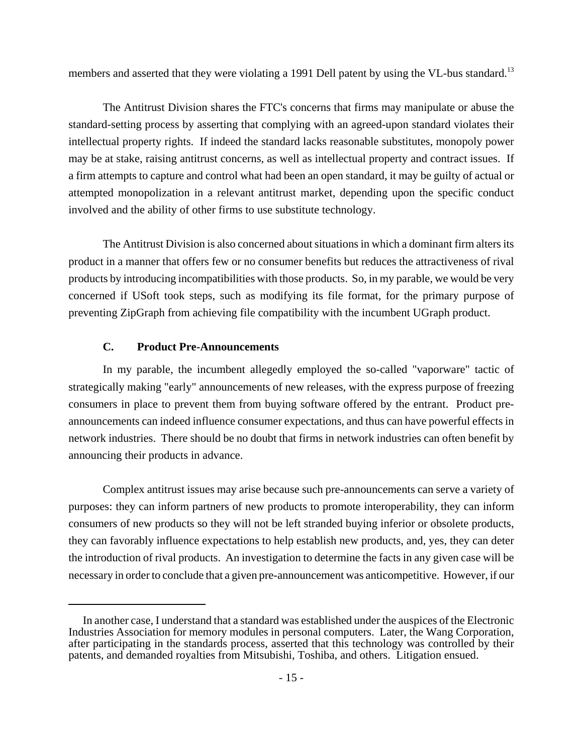members and asserted that they were violating a 1991 Dell patent by using the VL-bus standard.<sup>13</sup>

The Antitrust Division shares the FTC's concerns that firms may manipulate or abuse the standard-setting process by asserting that complying with an agreed-upon standard violates their intellectual property rights. If indeed the standard lacks reasonable substitutes, monopoly power may be at stake, raising antitrust concerns, as well as intellectual property and contract issues. If a firm attempts to capture and control what had been an open standard, it may be guilty of actual or attempted monopolization in a relevant antitrust market, depending upon the specific conduct involved and the ability of other firms to use substitute technology.

The Antitrust Division is also concerned about situations in which a dominant firm alters its product in a manner that offers few or no consumer benefits but reduces the attractiveness of rival products by introducing incompatibilities with those products. So, in my parable, we would be very concerned if USoft took steps, such as modifying its file format, for the primary purpose of preventing ZipGraph from achieving file compatibility with the incumbent UGraph product.

### **C. Product Pre-Announcements**

In my parable, the incumbent allegedly employed the so-called "vaporware" tactic of strategically making "early" announcements of new releases, with the express purpose of freezing consumers in place to prevent them from buying software offered by the entrant. Product preannouncements can indeed influence consumer expectations, and thus can have powerful effects in network industries. There should be no doubt that firms in network industries can often benefit by announcing their products in advance.

Complex antitrust issues may arise because such pre-announcements can serve a variety of purposes: they can inform partners of new products to promote interoperability, they can inform consumers of new products so they will not be left stranded buying inferior or obsolete products, they can favorably influence expectations to help establish new products, and, yes, they can deter the introduction of rival products. An investigation to determine the facts in any given case will be necessary in order to conclude that a given pre-announcement was anticompetitive. However, if our

In another case, I understand that a standard was established under the auspices of the Electronic Industries Association for memory modules in personal computers. Later, the Wang Corporation, after participating in the standards process, asserted that this technology was controlled by their patents, and demanded royalties from Mitsubishi, Toshiba, and others. Litigation ensued.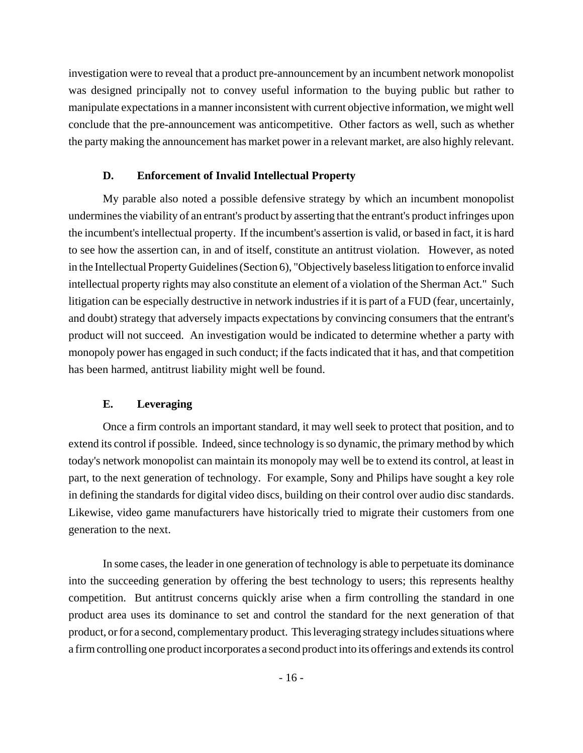investigation were to reveal that a product pre-announcement by an incumbent network monopolist was designed principally not to convey useful information to the buying public but rather to manipulate expectations in a manner inconsistent with current objective information, we might well conclude that the pre-announcement was anticompetitive. Other factors as well, such as whether the party making the announcement has market power in a relevant market, are also highly relevant.

# **D. Enforcement of Invalid Intellectual Property**

My parable also noted a possible defensive strategy by which an incumbent monopolist undermines the viability of an entrant's product by asserting that the entrant's product infringes upon the incumbent's intellectual property. If the incumbent's assertion is valid, or based in fact, it is hard to see how the assertion can, in and of itself, constitute an antitrust violation. However, as noted in the Intellectual Property Guidelines (Section 6), "Objectively baseless litigation to enforce invalid intellectual property rights may also constitute an element of a violation of the Sherman Act." Such litigation can be especially destructive in network industries if it is part of a FUD (fear, uncertainly, and doubt) strategy that adversely impacts expectations by convincing consumers that the entrant's product will not succeed. An investigation would be indicated to determine whether a party with monopoly power has engaged in such conduct; if the facts indicated that it has, and that competition has been harmed, antitrust liability might well be found.

## **E. Leveraging**

Once a firm controls an important standard, it may well seek to protect that position, and to extend its control if possible. Indeed, since technology is so dynamic, the primary method by which today's network monopolist can maintain its monopoly may well be to extend its control, at least in part, to the next generation of technology. For example, Sony and Philips have sought a key role in defining the standards for digital video discs, building on their control over audio disc standards. Likewise, video game manufacturers have historically tried to migrate their customers from one generation to the next.

In some cases, the leader in one generation of technology is able to perpetuate its dominance into the succeeding generation by offering the best technology to users; this represents healthy competition. But antitrust concerns quickly arise when a firm controlling the standard in one product area uses its dominance to set and control the standard for the next generation of that product, or for a second, complementary product. This leveraging strategy includes situations where a firm controlling one product incorporates a second product into its offerings and extends its control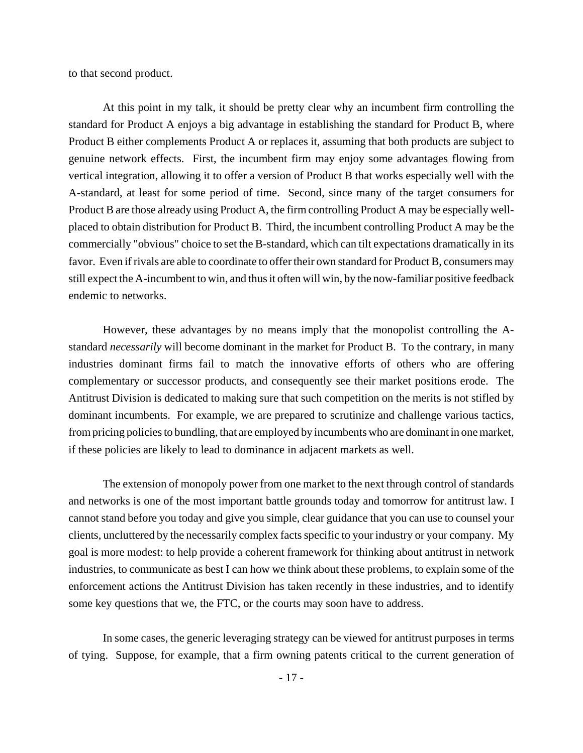to that second product.

At this point in my talk, it should be pretty clear why an incumbent firm controlling the standard for Product A enjoys a big advantage in establishing the standard for Product B, where Product B either complements Product A or replaces it, assuming that both products are subject to genuine network effects. First, the incumbent firm may enjoy some advantages flowing from vertical integration, allowing it to offer a version of Product B that works especially well with the A-standard, at least for some period of time. Second, since many of the target consumers for Product B are those already using Product A, the firm controlling Product A may be especially wellplaced to obtain distribution for Product B. Third, the incumbent controlling Product A may be the commercially "obvious" choice to set the B-standard, which can tilt expectations dramatically in its favor. Even if rivals are able to coordinate to offer their own standard for Product B, consumers may still expect the A-incumbent to win, and thus it often will win, by the now-familiar positive feedback endemic to networks.

However, these advantages by no means imply that the monopolist controlling the Astandard *necessarily* will become dominant in the market for Product B. To the contrary, in many industries dominant firms fail to match the innovative efforts of others who are offering complementary or successor products, and consequently see their market positions erode. The Antitrust Division is dedicated to making sure that such competition on the merits is not stifled by dominant incumbents. For example, we are prepared to scrutinize and challenge various tactics, from pricing policies to bundling, that are employed by incumbents who are dominant in one market, if these policies are likely to lead to dominance in adjacent markets as well.

The extension of monopoly power from one market to the next through control of standards and networks is one of the most important battle grounds today and tomorrow for antitrust law. I cannot stand before you today and give you simple, clear guidance that you can use to counsel your clients, uncluttered by the necessarily complex facts specific to your industry or your company. My goal is more modest: to help provide a coherent framework for thinking about antitrust in network industries, to communicate as best I can how we think about these problems, to explain some of the enforcement actions the Antitrust Division has taken recently in these industries, and to identify some key questions that we, the FTC, or the courts may soon have to address.

In some cases, the generic leveraging strategy can be viewed for antitrust purposes in terms of tying. Suppose, for example, that a firm owning patents critical to the current generation of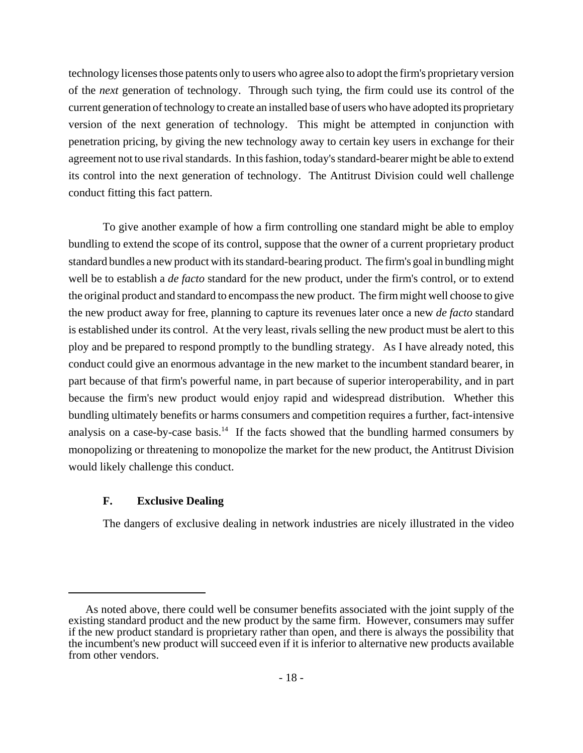technology licenses those patents only to users who agree also to adopt the firm's proprietary version of the *next* generation of technology. Through such tying, the firm could use its control of the current generation of technology to create an installed base of users who have adopted its proprietary version of the next generation of technology. This might be attempted in conjunction with penetration pricing, by giving the new technology away to certain key users in exchange for their agreement not to use rival standards. In this fashion, today's standard-bearer might be able to extend its control into the next generation of technology. The Antitrust Division could well challenge conduct fitting this fact pattern.

To give another example of how a firm controlling one standard might be able to employ bundling to extend the scope of its control, suppose that the owner of a current proprietary product standard bundles a new product with its standard-bearing product. The firm's goal in bundling might well be to establish a *de facto* standard for the new product, under the firm's control, or to extend the original product and standard to encompass the new product. The firm might well choose to give the new product away for free, planning to capture its revenues later once a new *de facto* standard is established under its control. At the very least, rivals selling the new product must be alert to this ploy and be prepared to respond promptly to the bundling strategy. As I have already noted, this conduct could give an enormous advantage in the new market to the incumbent standard bearer, in part because of that firm's powerful name, in part because of superior interoperability, and in part because the firm's new product would enjoy rapid and widespread distribution. Whether this bundling ultimately benefits or harms consumers and competition requires a further, fact-intensive analysis on a case-by-case basis.<sup>14</sup> If the facts showed that the bundling harmed consumers by monopolizing or threatening to monopolize the market for the new product, the Antitrust Division would likely challenge this conduct.

## **F. Exclusive Dealing**

The dangers of exclusive dealing in network industries are nicely illustrated in the video

As noted above, there could well be consumer benefits associated with the joint supply of the existing standard product and the new product by the same firm. However, consumers may suffer if the new product standard is proprietary rather than open, and there is always the possibility that the incumbent's new product will succeed even if it is inferior to alternative new products available from other vendors.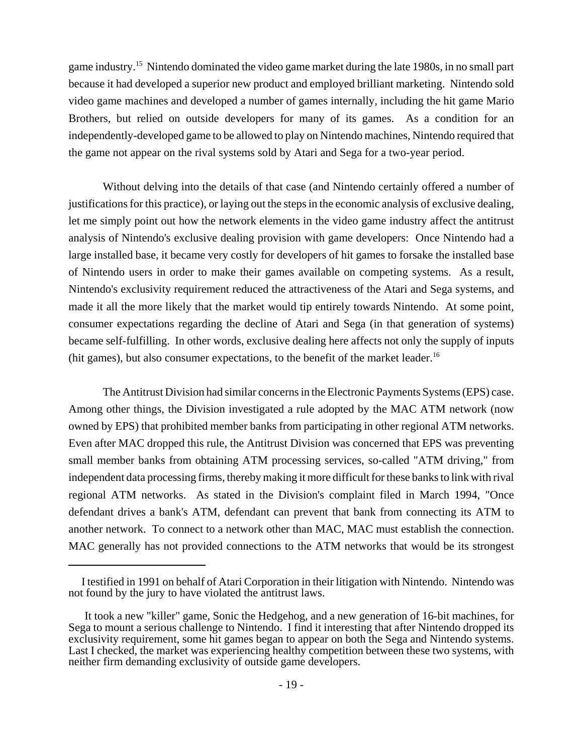game industry.15 Nintendo dominated the video game market during the late 1980s, in no small part because it had developed a superior new product and employed brilliant marketing. Nintendo sold video game machines and developed a number of games internally, including the hit game Mario Brothers, but relied on outside developers for many of its games. As a condition for an independently-developed game to be allowed to play on Nintendo machines, Nintendo required that the game not appear on the rival systems sold by Atari and Sega for a two-year period.

Without delving into the details of that case (and Nintendo certainly offered a number of justifications for this practice), or laying out the steps in the economic analysis of exclusive dealing, let me simply point out how the network elements in the video game industry affect the antitrust analysis of Nintendo's exclusive dealing provision with game developers: Once Nintendo had a large installed base, it became very costly for developers of hit games to forsake the installed base of Nintendo users in order to make their games available on competing systems. As a result, Nintendo's exclusivity requirement reduced the attractiveness of the Atari and Sega systems, and made it all the more likely that the market would tip entirely towards Nintendo. At some point, consumer expectations regarding the decline of Atari and Sega (in that generation of systems) became self-fulfilling. In other words, exclusive dealing here affects not only the supply of inputs (hit games), but also consumer expectations, to the benefit of the market leader.<sup>16</sup>

The Antitrust Division had similar concerns in the Electronic Payments Systems (EPS) case. Among other things, the Division investigated a rule adopted by the MAC ATM network (now owned by EPS) that prohibited member banks from participating in other regional ATM networks. Even after MAC dropped this rule, the Antitrust Division was concerned that EPS was preventing small member banks from obtaining ATM processing services, so-called "ATM driving," from independent data processing firms, thereby making it more difficult for these banks to link with rival regional ATM networks. As stated in the Division's complaint filed in March 1994, "Once defendant drives a bank's ATM, defendant can prevent that bank from connecting its ATM to another network. To connect to a network other than MAC, MAC must establish the connection. MAC generally has not provided connections to the ATM networks that would be its strongest

I testified in 1991 on behalf of Atari Corporation in their litigation with Nintendo. Nintendo was not found by the jury to have violated the antitrust laws.

It took a new "killer" game, Sonic the Hedgehog, and a new generation of 16-bit machines, for Sega to mount a serious challenge to Nintendo. I find it interesting that after Nintendo dropped its exclusivity requirement, some hit games began to appear on both the Sega and Nintendo systems. Last I checked, the market was experiencing healthy competition between these two systems, with neither firm demanding exclusivity of outside game developers.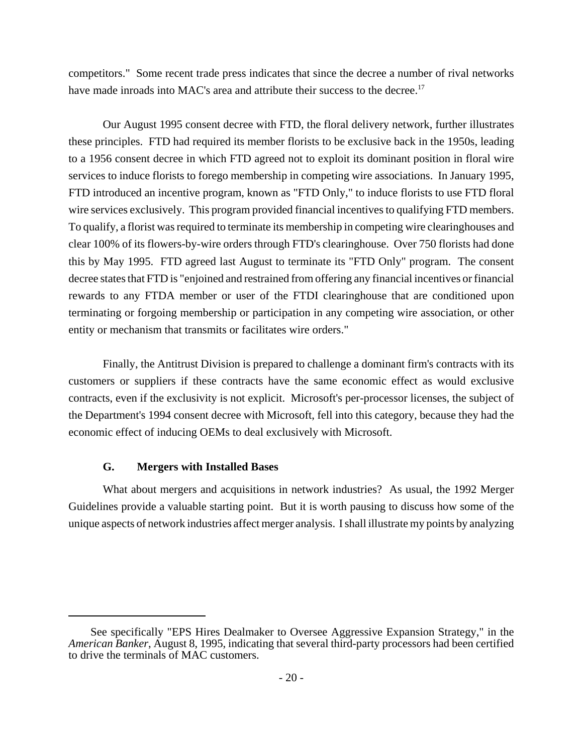competitors." Some recent trade press indicates that since the decree a number of rival networks have made inroads into MAC's area and attribute their success to the decree.<sup>17</sup>

Our August 1995 consent decree with FTD, the floral delivery network, further illustrates these principles. FTD had required its member florists to be exclusive back in the 1950s, leading to a 1956 consent decree in which FTD agreed not to exploit its dominant position in floral wire services to induce florists to forego membership in competing wire associations. In January 1995, FTD introduced an incentive program, known as "FTD Only," to induce florists to use FTD floral wire services exclusively. This program provided financial incentives to qualifying FTD members. To qualify, a florist was required to terminate its membership in competing wire clearinghouses and clear 100% of its flowers-by-wire orders through FTD's clearinghouse. Over 750 florists had done this by May 1995. FTD agreed last August to terminate its "FTD Only" program. The consent decree states that FTD is "enjoined and restrained from offering any financial incentives or financial rewards to any FTDA member or user of the FTDI clearinghouse that are conditioned upon terminating or forgoing membership or participation in any competing wire association, or other entity or mechanism that transmits or facilitates wire orders."

Finally, the Antitrust Division is prepared to challenge a dominant firm's contracts with its customers or suppliers if these contracts have the same economic effect as would exclusive contracts, even if the exclusivity is not explicit. Microsoft's per-processor licenses, the subject of the Department's 1994 consent decree with Microsoft, fell into this category, because they had the economic effect of inducing OEMs to deal exclusively with Microsoft.

## **G. Mergers with Installed Bases**

What about mergers and acquisitions in network industries? As usual, the 1992 Merger Guidelines provide a valuable starting point. But it is worth pausing to discuss how some of the unique aspects of network industries affect merger analysis. I shall illustrate my points by analyzing

See specifically "EPS Hires Dealmaker to Oversee Aggressive Expansion Strategy," in the *American Banker*, August 8, 1995, indicating that several third-party processors had been certified to drive the terminals of MAC customers.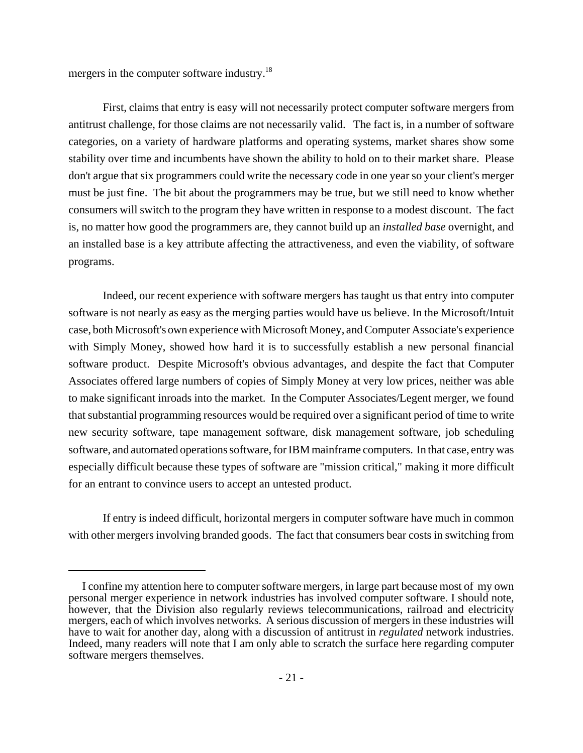mergers in the computer software industry.<sup>18</sup>

First, claims that entry is easy will not necessarily protect computer software mergers from antitrust challenge, for those claims are not necessarily valid. The fact is, in a number of software categories, on a variety of hardware platforms and operating systems, market shares show some stability over time and incumbents have shown the ability to hold on to their market share. Please don't argue that six programmers could write the necessary code in one year so your client's merger must be just fine. The bit about the programmers may be true, but we still need to know whether consumers will switch to the program they have written in response to a modest discount. The fact is, no matter how good the programmers are, they cannot build up an *installed base* overnight, and an installed base is a key attribute affecting the attractiveness, and even the viability, of software programs.

Indeed, our recent experience with software mergers has taught us that entry into computer software is not nearly as easy as the merging parties would have us believe. In the Microsoft/Intuit case, both Microsoft's own experience with Microsoft Money, and Computer Associate's experience with Simply Money, showed how hard it is to successfully establish a new personal financial software product. Despite Microsoft's obvious advantages, and despite the fact that Computer Associates offered large numbers of copies of Simply Money at very low prices, neither was able to make significant inroads into the market. In the Computer Associates/Legent merger, we found that substantial programming resources would be required over a significant period of time to write new security software, tape management software, disk management software, job scheduling software, and automated operations software, for IBM mainframe computers. In that case, entry was especially difficult because these types of software are "mission critical," making it more difficult for an entrant to convince users to accept an untested product.

If entry is indeed difficult, horizontal mergers in computer software have much in common with other mergers involving branded goods. The fact that consumers bear costs in switching from

I confine my attention here to computer software mergers, in large part because most of my own personal merger experience in network industries has involved computer software. I should note, however, that the Division also regularly reviews telecommunications, railroad and electricity mergers, each of which involves networks. A serious discussion of mergers in these industries will have to wait for another day, along with a discussion of antitrust in *regulated* network industries. Indeed, many readers will note that I am only able to scratch the surface here regarding computer software mergers themselves.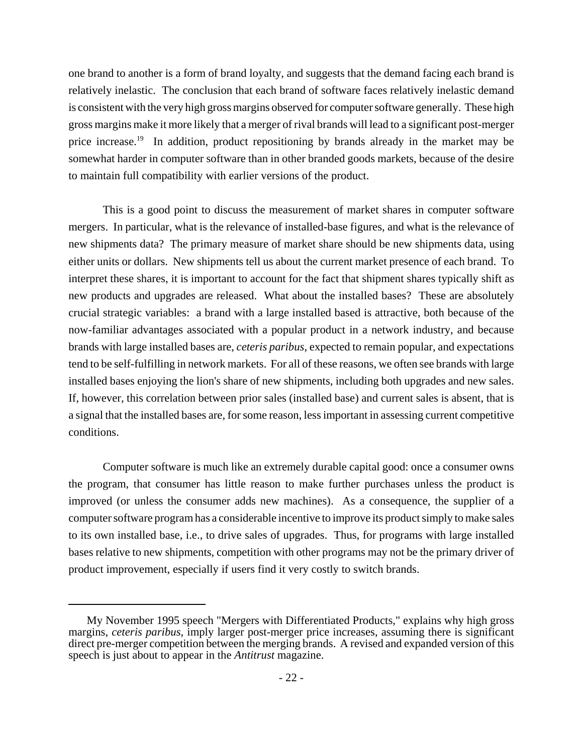one brand to another is a form of brand loyalty, and suggests that the demand facing each brand is relatively inelastic. The conclusion that each brand of software faces relatively inelastic demand is consistent with the very high gross margins observed for computer software generally. These high gross margins make it more likely that a merger of rival brands will lead to a significant post-merger price increase.<sup>19</sup> In addition, product repositioning by brands already in the market may be somewhat harder in computer software than in other branded goods markets, because of the desire to maintain full compatibility with earlier versions of the product.

This is a good point to discuss the measurement of market shares in computer software mergers. In particular, what is the relevance of installed-base figures, and what is the relevance of new shipments data? The primary measure of market share should be new shipments data, using either units or dollars. New shipments tell us about the current market presence of each brand. To interpret these shares, it is important to account for the fact that shipment shares typically shift as new products and upgrades are released. What about the installed bases? These are absolutely crucial strategic variables: a brand with a large installed based is attractive, both because of the now-familiar advantages associated with a popular product in a network industry, and because brands with large installed bases are, *ceteris paribus*, expected to remain popular, and expectations tend to be self-fulfilling in network markets. For all of these reasons, we often see brands with large installed bases enjoying the lion's share of new shipments, including both upgrades and new sales. If, however, this correlation between prior sales (installed base) and current sales is absent, that is a signal that the installed bases are, for some reason, less important in assessing current competitive conditions.

Computer software is much like an extremely durable capital good: once a consumer owns the program, that consumer has little reason to make further purchases unless the product is improved (or unless the consumer adds new machines). As a consequence, the supplier of a computer software program has a considerable incentive to improve its product simply to make sales to its own installed base, i.e., to drive sales of upgrades. Thus, for programs with large installed bases relative to new shipments, competition with other programs may not be the primary driver of product improvement, especially if users find it very costly to switch brands.

My November 1995 speech "Mergers with Differentiated Products," explains why high gross margins, *ceteris paribus*, imply larger post-merger price increases, assuming there is significant direct pre-merger competition between the merging brands. A revised and expanded version of this speech is just about to appear in the *Antitrust* magazine.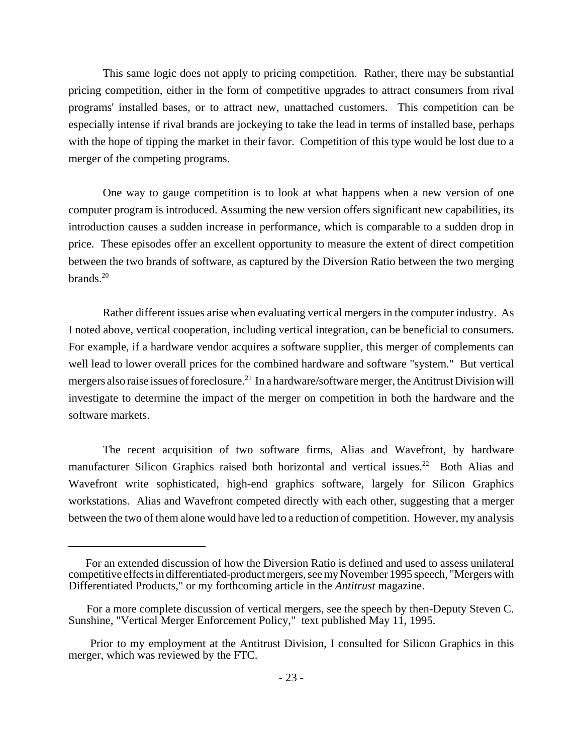This same logic does not apply to pricing competition. Rather, there may be substantial pricing competition, either in the form of competitive upgrades to attract consumers from rival programs' installed bases, or to attract new, unattached customers. This competition can be especially intense if rival brands are jockeying to take the lead in terms of installed base, perhaps with the hope of tipping the market in their favor. Competition of this type would be lost due to a merger of the competing programs.

One way to gauge competition is to look at what happens when a new version of one computer program is introduced. Assuming the new version offers significant new capabilities, its introduction causes a sudden increase in performance, which is comparable to a sudden drop in price. These episodes offer an excellent opportunity to measure the extent of direct competition between the two brands of software, as captured by the Diversion Ratio between the two merging brands. $20$ 

Rather different issues arise when evaluating vertical mergers in the computer industry. As I noted above, vertical cooperation, including vertical integration, can be beneficial to consumers. For example, if a hardware vendor acquires a software supplier, this merger of complements can well lead to lower overall prices for the combined hardware and software "system." But vertical mergers also raise issues of foreclosure.<sup>21</sup> In a hardware/software merger, the Antitrust Division will investigate to determine the impact of the merger on competition in both the hardware and the software markets.

The recent acquisition of two software firms, Alias and Wavefront, by hardware manufacturer Silicon Graphics raised both horizontal and vertical issues.<sup>22</sup> Both Alias and Wavefront write sophisticated, high-end graphics software, largely for Silicon Graphics workstations. Alias and Wavefront competed directly with each other, suggesting that a merger between the two of them alone would have led to a reduction of competition. However, my analysis

For an extended discussion of how the Diversion Ratio is defined and used to assess unilateral competitive effects in differentiated-product mergers, see my November 1995 speech, "Mergers with Differentiated Products," or my forthcoming article in the *Antitrust* magazine.

For a more complete discussion of vertical mergers, see the speech by then-Deputy Steven C. Sunshine, "Vertical Merger Enforcement Policy," text published May 11, 1995.

Prior to my employment at the Antitrust Division, I consulted for Silicon Graphics in this merger, which was reviewed by the FTC.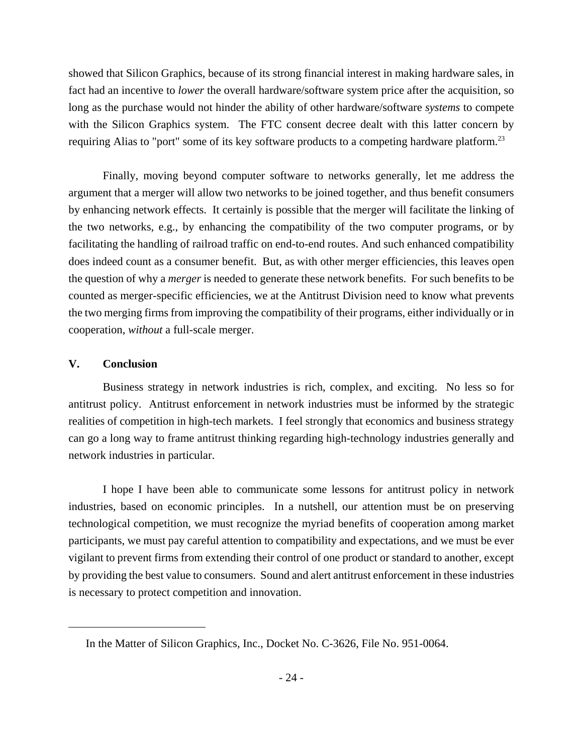showed that Silicon Graphics, because of its strong financial interest in making hardware sales, in fact had an incentive to *lower* the overall hardware/software system price after the acquisition, so long as the purchase would not hinder the ability of other hardware/software *systems* to compete with the Silicon Graphics system. The FTC consent decree dealt with this latter concern by requiring Alias to "port" some of its key software products to a competing hardware platform.<sup>23</sup>

Finally, moving beyond computer software to networks generally, let me address the argument that a merger will allow two networks to be joined together, and thus benefit consumers by enhancing network effects. It certainly is possible that the merger will facilitate the linking of the two networks, e.g., by enhancing the compatibility of the two computer programs, or by facilitating the handling of railroad traffic on end-to-end routes. And such enhanced compatibility does indeed count as a consumer benefit. But, as with other merger efficiencies, this leaves open the question of why a *merger* is needed to generate these network benefits. For such benefits to be counted as merger-specific efficiencies, we at the Antitrust Division need to know what prevents the two merging firms from improving the compatibility of their programs, either individually or in cooperation, *without* a full-scale merger.

## **V. Conclusion**

Business strategy in network industries is rich, complex, and exciting. No less so for antitrust policy. Antitrust enforcement in network industries must be informed by the strategic realities of competition in high-tech markets. I feel strongly that economics and business strategy can go a long way to frame antitrust thinking regarding high-technology industries generally and network industries in particular.

I hope I have been able to communicate some lessons for antitrust policy in network industries, based on economic principles. In a nutshell, our attention must be on preserving technological competition, we must recognize the myriad benefits of cooperation among market participants, we must pay careful attention to compatibility and expectations, and we must be ever vigilant to prevent firms from extending their control of one product or standard to another, except by providing the best value to consumers. Sound and alert antitrust enforcement in these industries is necessary to protect competition and innovation.

In the Matter of Silicon Graphics, Inc., Docket No. C-3626, File No. 951-0064.